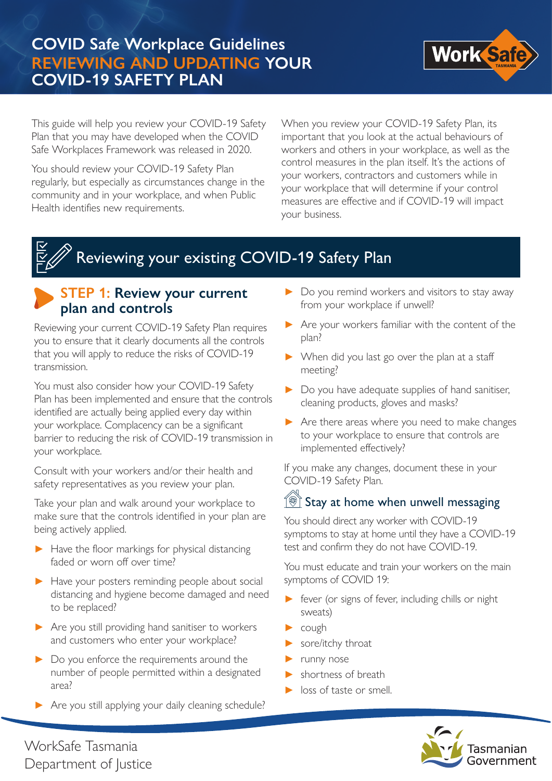

This guide will help you review your COVID-19 Safety Plan that you may have developed when the COVID Safe Workplaces Framework was released in 2020.

You should review your COVID-19 Safety Plan regularly, but especially as circumstances change in the community and in your workplace, and when Public Health identifies new requirements.

When you review your COVID-19 Safety Plan, its important that you look at the actual behaviours of workers and others in your workplace, as well as the control measures in the plan itself. It's the actions of your workers, contractors and customers while in your workplace that will determine if your control measures are effective and if COVID-19 will impact your business.

# Reviewing your existing COVID-19 Safety Plan

#### **STEP 1: Review your current plan and controls**

Reviewing your current COVID-19 Safety Plan requires you to ensure that it clearly documents all the controls that you will apply to reduce the risks of COVID-19 transmission.

You must also consider how your COVID-19 Safety Plan has been implemented and ensure that the controls identified are actually being applied every day within your workplace. Complacency can be a significant barrier to reducing the risk of COVID-19 transmission in your workplace.

Consult with your workers and/or their health and safety representatives as you review your plan.

Take your plan and walk around your workplace to make sure that the controls identified in your plan are being actively applied.

- ► Have the floor markings for physical distancing faded or worn off over time?
- ► Have your posters reminding people about social distancing and hygiene become damaged and need to be replaced?
- ► Are you still providing hand sanitiser to workers and customers who enter your workplace?
- ► Do you enforce the requirements around the number of people permitted within a designated area?
- ► Are you still applying your daily cleaning schedule?
- ▶ Do you remind workers and visitors to stay away from your workplace if unwell?
- ► Are your workers familiar with the content of the plan?
- ► When did you last go over the plan at a staff meeting?
- ► Do you have adequate supplies of hand sanitiser, cleaning products, gloves and masks?
- ► Are there areas where you need to make changes to your workplace to ensure that controls are implemented effectively?

If you make any changes, document these in your COVID-19 Safety Plan.

#### $\sqrt{\frac{1}{2}}$  Stay at home when unwell messaging

You should direct any worker with COVID-19 symptoms to stay at home until they have a COVID-19 test and confirm they do not have COVID-19.

You must educate and train your workers on the main symptoms of COVID 19:

- fever (or signs of fever, including chills or night sweats)
- cough
- sore/itchy throat
- ► runny nose
- shortness of breath
- loss of taste or smell.



WorkSafe Tasmania Department of Justice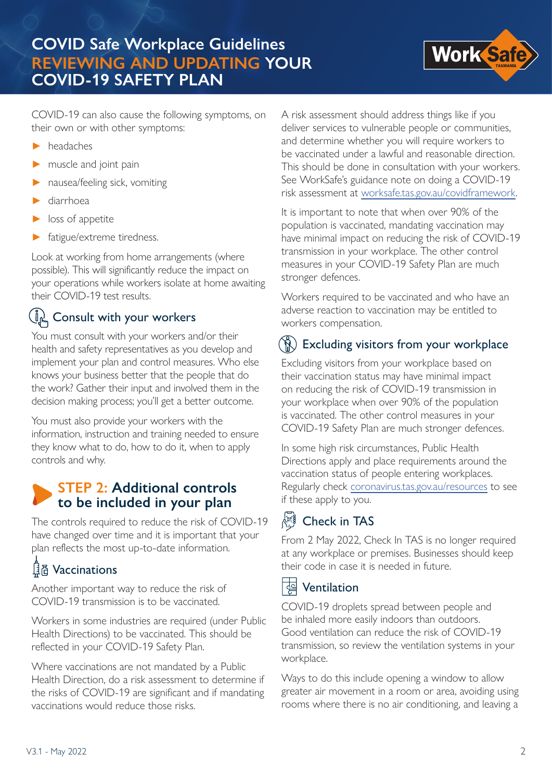

COVID-19 can also cause the following symptoms, on their own or with other symptoms:

- ► headaches
- muscle and joint pain
- ► nausea/feeling sick, vomiting
- diarrhoea
- loss of appetite
- fatigue/extreme tiredness.

Look at working from home arrangements (where possible). This will significantly reduce the impact on your operations while workers isolate at home awaiting their COVID-19 test results.

## Consult with your workers

You must consult with your workers and/or their health and safety representatives as you develop and implement your plan and control measures. Who else knows your business better that the people that do the work? Gather their input and involved them in the decision making process; you'll get a better outcome.

You must also provide your workers with the information, instruction and training needed to ensure they know what to do, how to do it, when to apply controls and why.

#### **STEP 2: Additional controls to be included in your plan**

The controls required to reduce the risk of COVID-19 have changed over time and it is important that your plan reflects the most up-to-date information.

# **Qide Vaccinations**

Another important way to reduce the risk of COVID-19 transmission is to be vaccinated.

Workers in some industries are required (under Public Health Directions) to be vaccinated. This should be reflected in your COVID-19 Safety Plan.

Where vaccinations are not mandated by a Public Health Direction, do a risk assessment to determine if the risks of COVID-19 are significant and if mandating vaccinations would reduce those risks.

A risk assessment should address things like if you deliver services to vulnerable people or communities, and determine whether you will require workers to be vaccinated under a lawful and reasonable direction. This should be done in consultation with your workers. See WorkSafe's guidance note on doing a COVID-19 risk assessment at worksafe.tas.gov.au/covidframework.

It is important to note that when over 90% of the population is vaccinated, mandating vaccination may have minimal impact on reducing the risk of COVID-19 transmission in your workplace. The other control measures in your COVID-19 Safety Plan are much stronger defences.

Workers required to be vaccinated and who have an adverse reaction to vaccination may be entitled to workers compensation.

# $(\hat{N})$  Excluding visitors from your workplace

Excluding visitors from your workplace based on their vaccination status may have minimal impact on reducing the risk of COVID-19 transmission in your workplace when over 90% of the population is vaccinated. The other control measures in your COVID-19 Safety Plan are much stronger defences.

In some high risk circumstances, Public Health Directions apply and place requirements around the vaccination status of people entering workplaces. Regularly check coronavirus.tas.gov.au/resources to see if these apply to you.

#### $\begin{matrix} \begin{smallmatrix} a_{11} & 0 \\ 0 & a_{12} \end{smallmatrix} \\ \begin{smallmatrix} a_{11} & 0 \\ 0 & a_{12} \end{smallmatrix} \end{matrix}$ Check in TAS

From 2 May 2022, Check In TAS is no longer required at any workplace or premises. Businesses should keep their code in case it is needed in future.

#### ਇੱ Ventilation

COVID-19 droplets spread between people and be inhaled more easily indoors than outdoors. Good ventilation can reduce the risk of COVID-19 transmission, so review the ventilation systems in your workplace.

Ways to do this include opening a window to allow greater air movement in a room or area, avoiding using rooms where there is no air conditioning, and leaving a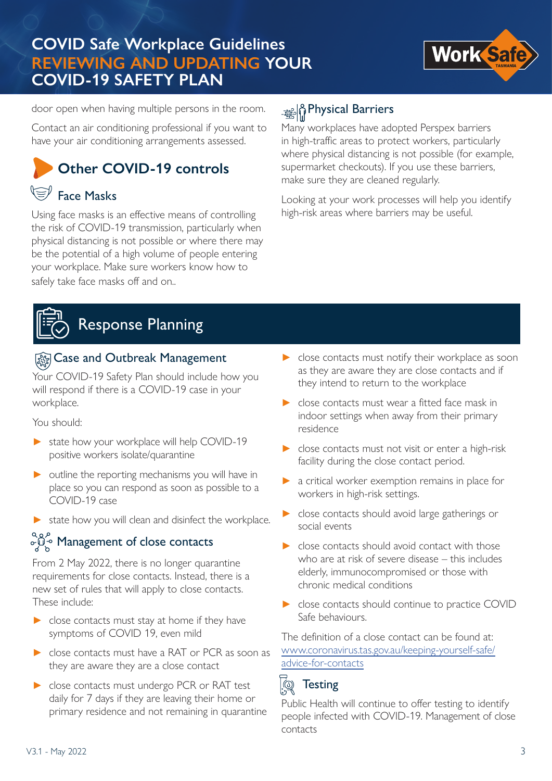

door open when having multiple persons in the room.

Contact an air conditioning professional if you want to have your air conditioning arrangements assessed.

# **Other COVID-19 controls**

# Face Masks

Using face masks is an effective means of controlling the risk of COVID-19 transmission, particularly when physical distancing is not possible or where there may be the potential of a high volume of people entering your workplace. Make sure workers know how to safely take face masks off and on..

## Physical Barriers

Many workplaces have adopted Perspex barriers in high-traffic areas to protect workers, particularly where physical distancing is not possible (for example, supermarket checkouts). If you use these barriers, make sure they are cleaned regularly.

Looking at your work processes will help you identify high-risk areas where barriers may be useful.

# Response Planning

#### **Exagement** Outbreak Management

Your COVID-19 Safety Plan should include how you will respond if there is a COVID-19 case in your workplace.

You should:

- ► state how your workplace will help COVID-19 positive workers isolate/quarantine
- $\triangleright$  outline the reporting mechanisms you will have in place so you can respond as soon as possible to a COVID-19 case
- ▶ state how you will clean and disinfect the workplace.

# $\partial \mathcal{Q}_{\infty}^{\infty}$  Management of close contacts

From 2 May 2022, there is no longer quarantine requirements for close contacts. Instead, there is a new set of rules that will apply to close contacts. These include:

- ► close contacts must stay at home if they have symptoms of COVID 19, even mild
- ► close contacts must have a RAT or PCR as soon as they are aware they are a close contact
- ► close contacts must undergo PCR or RAT test daily for 7 days if they are leaving their home or primary residence and not remaining in quarantine
- ► close contacts must notify their workplace as soon as they are aware they are close contacts and if they intend to return to the workplace
- ► close contacts must wear a fitted face mask in indoor settings when away from their primary residence
- ► close contacts must not visit or enter a high-risk facility during the close contact period.
- a critical worker exemption remains in place for workers in high-risk settings.
- ► close contacts should avoid large gatherings or social events
- ► close contacts should avoid contact with those who are at risk of severe disease – this includes elderly, immunocompromised or those with chronic medical conditions
- ► close contacts should continue to practice COVID Safe behaviours.

The definition of a close contact can be found at: www.coronavirus.tas.gov.au/keeping-yourself-safe/ advice-for-contacts

#### $\mathbb{Q}$ **Testing**

Public Health will continue to offer testing to identify people infected with COVID-19. Management of close contacts